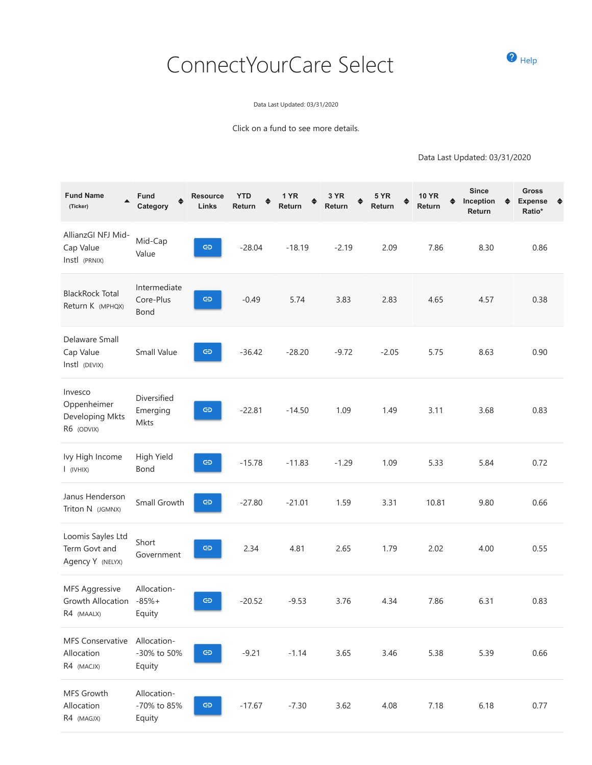## ConnectYourCare Select **OHEIP**



Data Last Updated: 03/31/2020

Click on a fund to see more details.

Data Last Updated: 03/31/2020

| <b>Fund Name</b><br>(Ticker)                             | Fund<br>Category                     | <b>Resource</b><br>Links | <b>YTD</b><br>Return | 1 YR<br>Return | 3 YR<br>Return | <b>5 YR</b><br>Return | <b>10 YR</b><br>Return | <b>Since</b><br>Inception<br>Return | <b>Gross</b><br><b>Expense</b><br>♠<br>♦<br>Ratio* |
|----------------------------------------------------------|--------------------------------------|--------------------------|----------------------|----------------|----------------|-----------------------|------------------------|-------------------------------------|----------------------------------------------------|
| AllianzGI NFJ Mid-<br>Cap Value<br>Instl (PRNIX)         | Mid-Cap<br>Value                     | $\oplus$                 | $-28.04$             | $-18.19$       | $-2.19$        | 2.09                  | 7.86                   | 8.30                                | 0.86                                               |
| <b>BlackRock Total</b><br>Return K (MPHQX)               | Intermediate<br>Core-Plus<br>Bond    | $\oplus$                 | $-0.49$              | 5.74           | 3.83           | 2.83                  | 4.65                   | 4.57                                | 0.38                                               |
| Delaware Small<br>Cap Value<br>Instl (DEVIX)             | Small Value                          | $\oplus$                 | $-36.42$             | $-28.20$       | $-9.72$        | $-2.05$               | 5.75                   | 8.63                                | 0.90                                               |
| Invesco<br>Oppenheimer<br>Developing Mkts<br>R6 (ODVIX)  | Diversified<br>Emerging<br>Mkts      | $\oplus$                 | $-22.81$             | $-14.50$       | 1.09           | 1.49                  | 3.11                   | 3.68                                | 0.83                                               |
| Ivy High Income<br>$I$ (IVHIX)                           | High Yield<br>Bond                   | $\oplus$                 | $-15.78$             | $-11.83$       | $-1.29$        | 1.09                  | 5.33                   | 5.84                                | 0.72                                               |
| Janus Henderson<br>Triton N (JGMNX)                      | Small Growth                         | $\oplus$                 | $-27.80$             | $-21.01$       | 1.59           | 3.31                  | 10.81                  | 9.80                                | 0.66                                               |
| Loomis Sayles Ltd<br>Term Govt and<br>Agency Y (NELYX)   | Short<br>Government                  | ඏ                        | 2.34                 | 4.81           | 2.65           | 1.79                  | 2.02                   | 4.00                                | 0.55                                               |
| <b>MFS Aggressive</b><br>Growth Allocation<br>R4 (MAALX) | Allocation-<br>$-85% +$<br>Equity    | ඏ                        | $-20.52$             | $-9.53$        | 3.76           | 4.34                  | 7.86                   | 6.31                                | 0.83                                               |
| MFS Conservative<br>Allocation<br>R4 (MACJX)             | Allocation-<br>-30% to 50%<br>Equity | $\oplus$                 | $-9.21$              | $-1.14$        | 3.65           | 3.46                  | 5.38                   | 5.39                                | 0.66                                               |
| MFS Growth<br>Allocation<br>R4 (MAGJX)                   | Allocation-<br>-70% to 85%<br>Equity | $\oplus$                 | $-17.67$             | $-7.30$        | 3.62           | 4.08                  | 7.18                   | 6.18                                | 0.77                                               |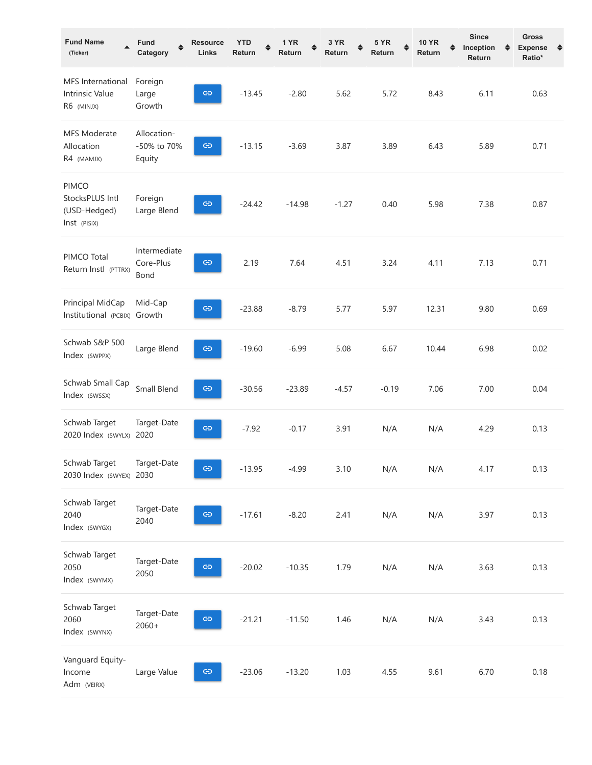| <b>Fund Name</b><br>(Ticker)                                    | Fund<br>Category                     | <b>Resource</b><br>Links | <b>YTD</b><br>Return | 1 YR<br>Return | 3 YR<br>Return | 5 YR<br>Return | <b>10 YR</b><br>Return | <b>Since</b><br>Inception<br>Return | Gross<br><b>Expense</b><br>♠<br>♦<br>Ratio* |
|-----------------------------------------------------------------|--------------------------------------|--------------------------|----------------------|----------------|----------------|----------------|------------------------|-------------------------------------|---------------------------------------------|
| MFS International<br><b>Intrinsic Value</b><br>R6 (MINJX)       | Foreign<br>Large<br>Growth           | ඏ                        | $-13.45$             | $-2.80$        | 5.62           | 5.72           | 8.43                   | 6.11                                | 0.63                                        |
| <b>MFS Moderate</b><br>Allocation<br>R4 (MAMJX)                 | Allocation-<br>-50% to 70%<br>Equity | ඏ                        | $-13.15$             | $-3.69$        | 3.87           | 3.89           | 6.43                   | 5.89                                | 0.71                                        |
| <b>PIMCO</b><br>StocksPLUS Intl<br>(USD-Hedged)<br>Inst (PISIX) | Foreign<br>Large Blend               | ඏ                        | $-24.42$             | $-14.98$       | $-1.27$        | 0.40           | 5.98                   | 7.38                                | 0.87                                        |
| PIMCO Total<br>Return Instl (PTTRX)                             | Intermediate<br>Core-Plus<br>Bond    | $\oplus$                 | 2.19                 | 7.64           | 4.51           | 3.24           | 4.11                   | 7.13                                | 0.71                                        |
| Principal MidCap<br>Institutional (PCBIX) Growth                | Mid-Cap                              | $\oplus$                 | $-23.88$             | $-8.79$        | 5.77           | 5.97           | 12.31                  | 9.80                                | 0.69                                        |
| Schwab S&P 500<br>Index (SWPPX)                                 | Large Blend                          | $\oplus$                 | $-19.60$             | $-6.99$        | 5.08           | 6.67           | 10.44                  | 6.98                                | 0.02                                        |
| Schwab Small Cap<br>Index (SWSSX)                               | Small Blend                          | G                        | $-30.56$             | $-23.89$       | $-4.57$        | $-0.19$        | 7.06                   | 7.00                                | 0.04                                        |
| Schwab Target<br>2020 Index (SWYLX) 2020                        | Target-Date                          | ඏ                        | $-7.92$              | $-0.17$        | 3.91           | N/A            | N/A                    | 4.29                                | 0.13                                        |
| Schwab Target<br>2030 Index (SWYEX) 2030                        | Target-Date                          | ඏ                        | $-13.95$             | -4.99          | 3.10           | N/A            | N/A                    | 4.17                                | 0.13                                        |
| Schwab Target<br>2040<br>Index (SWYGX)                          | Target-Date<br>2040                  | ඏ                        | $-17.61$             | $-8.20$        | 2.41           | N/A            | N/A                    | 3.97                                | 0.13                                        |
| Schwab Target<br>2050<br>Index (SWYMX)                          | Target-Date<br>2050                  | ඏ                        | $-20.02$             | $-10.35$       | 1.79           | N/A            | N/A                    | 3.63                                | 0.13                                        |
| Schwab Target<br>2060<br>Index (SWYNX)                          | Target-Date<br>$2060+$               | $\oplus$                 | $-21.21$             | $-11.50$       | 1.46           | N/A            | N/A                    | 3.43                                | 0.13                                        |
| Vanguard Equity-<br>Income<br>Adm (VEIRX)                       | Large Value                          | ඏ                        | $-23.06$             | $-13.20$       | 1.03           | 4.55           | 9.61                   | 6.70                                | 0.18                                        |